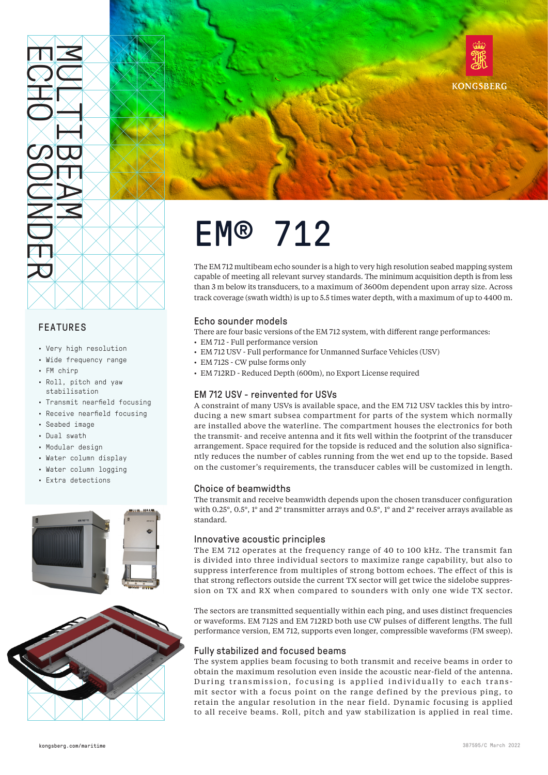

# FEATURES

- Very high resolution
- Wide frequency range
- FM chirp
- Roll, pitch and yaw stabilisation
- Transmit nearfield focusing
- Receive nearfield focusing
- Seabed image
- Dual swath
- Modular design
- Water column display
- Water column logging
- Extra detections







# EM® 712

The EM 712 multibeam echo sounder is a high to very high resolution seabed mapping system capable of meeting all relevant survey standards. The minimum acquisition depth is from less than 3 m below its transducers, to a maximum of 3600m dependent upon array size. Across track coverage (swath width) is up to 5.5 times water depth, with a maximum of up to 4400 m.

# Echo sounder models

There are four basic versions of the EM 712 system, with different range performances:

- EM 712 Full performance version
- EM 712 USV Full performance for Unmanned Surface Vehicles (USV)
- EM 712S CW pulse forms only
- EM 712RD Reduced Depth (600m), no Export License required

# EM 712 USV - reinvented for USVs

A constraint of many USVs is available space, and the EM 712 USV tackles this by introducing a new smart subsea compartment for parts of the system which normally are installed above the waterline. The compartment houses the electronics for both the transmit- and receive antenna and it fits well within the footprint of the transducer arrangement. Space required for the topside is reduced and the solution also significantly reduces the number of cables running from the wet end up to the topside. Based on the customer's requirements, the transducer cables will be customized in length.

# Choice of beamwidths

The transmit and receive beamwidth depends upon the chosen transducer configuration with 0.25°, 0.5°, 1° and 2° transmitter arrays and 0.5°, 1° and 2° receiver arrays available as standard.

### Innovative acoustic principles

The EM 712 operates at the frequency range of 40 to 100 kHz. The transmit fan is divided into three individual sectors to maximize range capability, but also to suppress interference from multiples of strong bottom echoes. The effect of this is that strong reflectors outside the current TX sector will get twice the sidelobe suppression on TX and RX when compared to sounders with only one wide TX sector.

The sectors are transmitted sequentially within each ping, and uses distinct frequencies or waveforms. EM 712S and EM 712RD both use CW pulses of different lengths. The full performance version, EM 712, supports even longer, compressible waveforms (FM sweep).

# Fully stabilized and focused beams

The system applies beam focusing to both transmit and receive beams in order to obtain the maximum resolution even inside the acoustic near-field of the antenna. During transmission, focusing is applied individually to each trans mit sector with a focus point on the range defined by the previous ping, to retain the angular resolution in the near field. Dynamic focusing is applied to all receive beams. Roll, pitch and yaw stabilization is applied in real time.